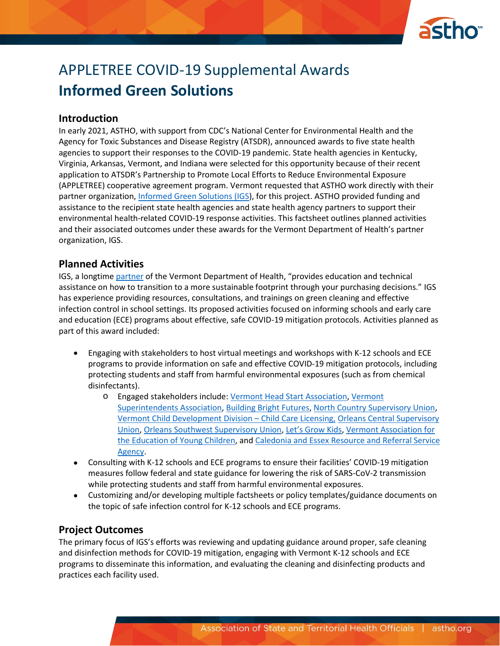

# APPLETREE COVID-19 Supplemental Awards **Informed Green Solutions**

### **Introduction**

In early 2021, ASTHO, with support from CDC's National Center for Environmental Health and the Agency for Toxic Substances and Disease Registry (ATSDR), announced awards to five state health agencies to support their responses to the COVID-19 pandemic. State health agencies in Kentucky, Virginia, Arkansas, Vermont, and Indiana were selected for this opportunity because of their recent application to ATSDR's Partnership to Promote Local Efforts to Reduce Environmental Exposure (APPLETREE) cooperative agreement program. Vermont requested that ASTHO work directly with their partner organization, [Informed Green Solutions \(IGS\)](https://www.informedgreensolutions.org/), for this project. ASTHO provided funding and assistance to the recipient state health agencies and state health agency partners to support their environmental health-related COVID-19 response activities. This factsheet outlines planned activities and their associated outcomes under these awards for the Vermont Department of Health's partner organization, IGS.

### **Planned Activities**

IGS, a longtime [partner](https://www.informedgreensolutions.org/about-us) of the Vermont Department of Health, "provides education and technical assistance on how to transition to a more sustainable footprint through your purchasing decisions." IGS has experience providing resources, consultations, and trainings on green cleaning and effective infection control in school settings. Its proposed activities focused on informing schools and early care and education (ECE) programs about effective, safe COVID-19 mitigation protocols. Activities planned as part of this award included:

- Engaging with stakeholders to host virtual meetings and workshops with K-12 schools and ECE programs to provide information on safe and effective COVID-19 mitigation protocols, including protecting students and staff from harmful environmental exposures (such as from chemical disinfectants).
	- o Engaged stakeholders include: Vermont Head Start [Association,](https://vermontheadstart.org/) [Vermont](https://www.vtvsa.org/) [Superintendents Association,](https://www.vtvsa.org/) [Building Bright Futures,](https://buildingbrightfutures.org/) [North Country Supervisory Union,](https://www.ncsuvt.org/) [Vermont Child Development Division](https://dcf.vermont.gov/cdd) – Child Care Licensing, [Orleans Central Supervisory](https://www.ocsu.org/)  [Union,](https://www.ocsu.org/) [Orleans Southwest Supervisory Union,](https://www.ossu.org/) [Let's Grow Kids](https://www.letsgrowkids.org/why-child-care), [Vermont Association for](https://vaeyc.org/)  [the Education of Young Children,](https://vaeyc.org/) an[d Caledonia and Essex Resource and Referral Service](https://humanresources.vermont.gov/benefits-wellness/employee-support/child-elder-care/child-care-resources-referrals)  [Agency.](https://humanresources.vermont.gov/benefits-wellness/employee-support/child-elder-care/child-care-resources-referrals)
- Consulting with K-12 schools and ECE programs to ensure their facilities' COVID-19 mitigation measures follow federal and state guidance for lowering the risk of SARS-CoV-2 transmission while protecting students and staff from harmful environmental exposures.
- Customizing and/or developing multiple factsheets or policy templates/guidance documents on the topic of safe infection control for K-12 schools and ECE programs.

# **Project Outcomes**

The primary focus of IGS's efforts was reviewing and updating guidance around proper, safe cleaning and disinfection methods for COVID-19 mitigation, engaging with Vermont K-12 schools and ECE programs to disseminate this information, and evaluating the cleaning and disinfecting products and practices each facility used.